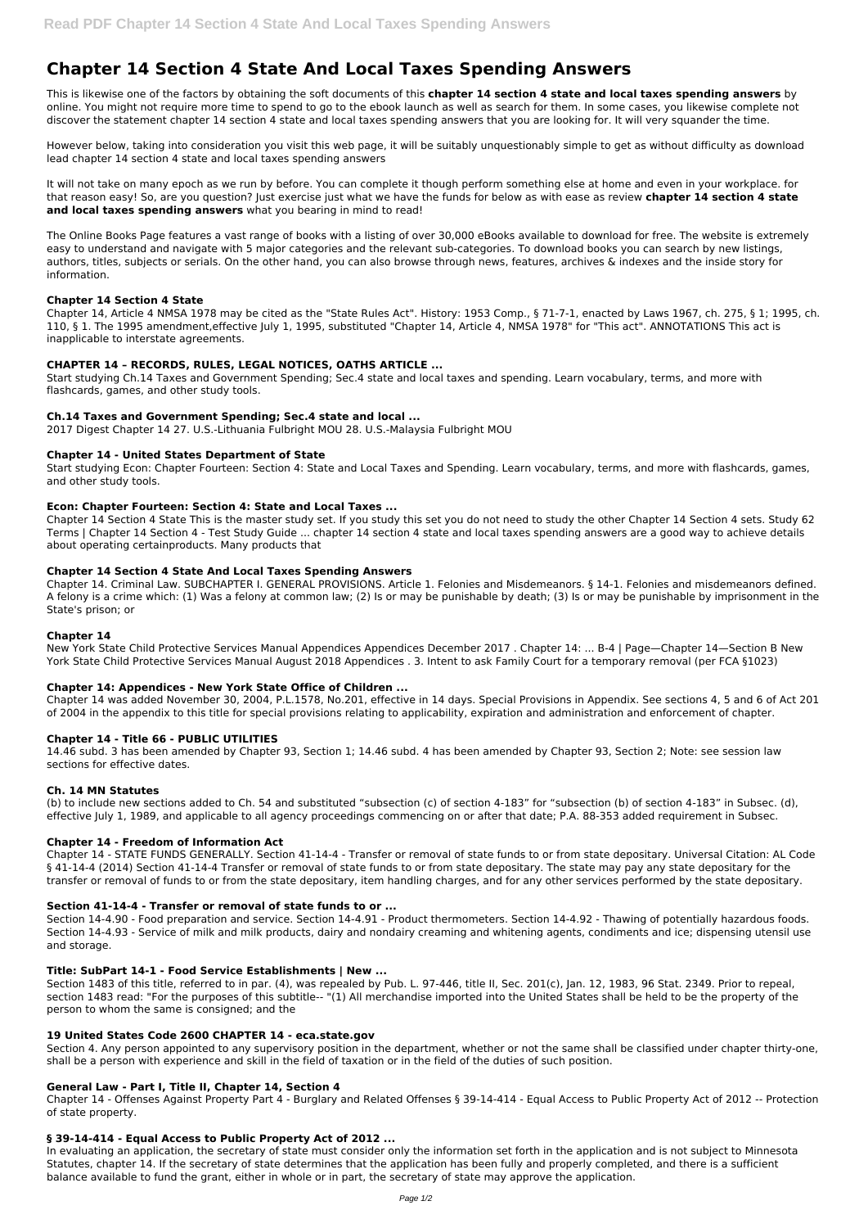# **Chapter 14 Section 4 State And Local Taxes Spending Answers**

This is likewise one of the factors by obtaining the soft documents of this **chapter 14 section 4 state and local taxes spending answers** by online. You might not require more time to spend to go to the ebook launch as well as search for them. In some cases, you likewise complete not discover the statement chapter 14 section 4 state and local taxes spending answers that you are looking for. It will very squander the time.

However below, taking into consideration you visit this web page, it will be suitably unquestionably simple to get as without difficulty as download lead chapter 14 section 4 state and local taxes spending answers

It will not take on many epoch as we run by before. You can complete it though perform something else at home and even in your workplace. for that reason easy! So, are you question? Just exercise just what we have the funds for below as with ease as review **chapter 14 section 4 state and local taxes spending answers** what you bearing in mind to read!

The Online Books Page features a vast range of books with a listing of over 30,000 eBooks available to download for free. The website is extremely easy to understand and navigate with 5 major categories and the relevant sub-categories. To download books you can search by new listings, authors, titles, subjects or serials. On the other hand, you can also browse through news, features, archives & indexes and the inside story for information.

# **Chapter 14 Section 4 State**

New York State Child Protective Services Manual Appendices Appendices December 2017 . Chapter 14: ... B-4 | Page—Chapter 14—Section B New York State Child Protective Services Manual August 2018 Appendices . 3. Intent to ask Family Court for a temporary removal (per FCA §1023)

Chapter 14, Article 4 NMSA 1978 may be cited as the "State Rules Act". History: 1953 Comp., § 71-7-1, enacted by Laws 1967, ch. 275, § 1; 1995, ch. 110, § 1. The 1995 amendment,effective July 1, 1995, substituted "Chapter 14, Article 4, NMSA 1978" for "This act". ANNOTATIONS This act is inapplicable to interstate agreements.

# **CHAPTER 14 – RECORDS, RULES, LEGAL NOTICES, OATHS ARTICLE ...**

Start studying Ch.14 Taxes and Government Spending; Sec.4 state and local taxes and spending. Learn vocabulary, terms, and more with flashcards, games, and other study tools.

# **Ch.14 Taxes and Government Spending; Sec.4 state and local ...**

2017 Digest Chapter 14 27. U.S.-Lithuania Fulbright MOU 28. U.S.-Malaysia Fulbright MOU

# **Chapter 14 - United States Department of State**

Start studying Econ: Chapter Fourteen: Section 4: State and Local Taxes and Spending. Learn vocabulary, terms, and more with flashcards, games, and other study tools.

## **Econ: Chapter Fourteen: Section 4: State and Local Taxes ...**

Chapter 14 Section 4 State This is the master study set. If you study this set you do not need to study the other Chapter 14 Section 4 sets. Study 62 Terms | Chapter 14 Section 4 - Test Study Guide ... chapter 14 section 4 state and local taxes spending answers are a good way to achieve details about operating certainproducts. Many products that

## **Chapter 14 Section 4 State And Local Taxes Spending Answers**

Chapter 14. Criminal Law. SUBCHAPTER I. GENERAL PROVISIONS. Article 1. Felonies and Misdemeanors. § 14-1. Felonies and misdemeanors defined. A felony is a crime which: (1) Was a felony at common law; (2) Is or may be punishable by death; (3) Is or may be punishable by imprisonment in the State's prison; or

## **Chapter 14**

## **Chapter 14: Appendices - New York State Office of Children ...**

Chapter 14 was added November 30, 2004, P.L.1578, No.201, effective in 14 days. Special Provisions in Appendix. See sections 4, 5 and 6 of Act 201 of 2004 in the appendix to this title for special provisions relating to applicability, expiration and administration and enforcement of chapter.

## **Chapter 14 - Title 66 - PUBLIC UTILITIES**

14.46 subd. 3 has been amended by Chapter 93, Section 1; 14.46 subd. 4 has been amended by Chapter 93, Section 2; Note: see session law sections for effective dates.

## **Ch. 14 MN Statutes**

(b) to include new sections added to Ch. 54 and substituted "subsection (c) of section 4-183" for "subsection (b) of section 4-183" in Subsec. (d), effective July 1, 1989, and applicable to all agency proceedings commencing on or after that date; P.A. 88-353 added requirement in Subsec.

## **Chapter 14 - Freedom of Information Act**

Chapter 14 - STATE FUNDS GENERALLY. Section 41-14-4 - Transfer or removal of state funds to or from state depositary. Universal Citation: AL Code § 41-14-4 (2014) Section 41-14-4 Transfer or removal of state funds to or from state depositary. The state may pay any state depositary for the transfer or removal of funds to or from the state depositary, item handling charges, and for any other services performed by the state depositary.

## **Section 41-14-4 - Transfer or removal of state funds to or ...**

Section 14-4.90 - Food preparation and service. Section 14-4.91 - Product thermometers. Section 14-4.92 - Thawing of potentially hazardous foods.

Section 14-4.93 - Service of milk and milk products, dairy and nondairy creaming and whitening agents, condiments and ice; dispensing utensil use and storage.

#### **Title: SubPart 14-1 - Food Service Establishments | New ...**

Section 1483 of this title, referred to in par. (4), was repealed by Pub. L. 97-446, title II, Sec. 201(c), Jan. 12, 1983, 96 Stat. 2349. Prior to repeal, section 1483 read: "For the purposes of this subtitle-- "(1) All merchandise imported into the United States shall be held to be the property of the person to whom the same is consigned; and the

#### **19 United States Code 2600 CHAPTER 14 - eca.state.gov**

Section 4. Any person appointed to any supervisory position in the department, whether or not the same shall be classified under chapter thirty-one, shall be a person with experience and skill in the field of taxation or in the field of the duties of such position.

#### **General Law - Part I, Title II, Chapter 14, Section 4**

Chapter 14 - Offenses Against Property Part 4 - Burglary and Related Offenses § 39-14-414 - Equal Access to Public Property Act of 2012 -- Protection of state property.

#### **§ 39-14-414 - Equal Access to Public Property Act of 2012 ...**

In evaluating an application, the secretary of state must consider only the information set forth in the application and is not subject to Minnesota Statutes, chapter 14. If the secretary of state determines that the application has been fully and properly completed, and there is a sufficient balance available to fund the grant, either in whole or in part, the secretary of state may approve the application.